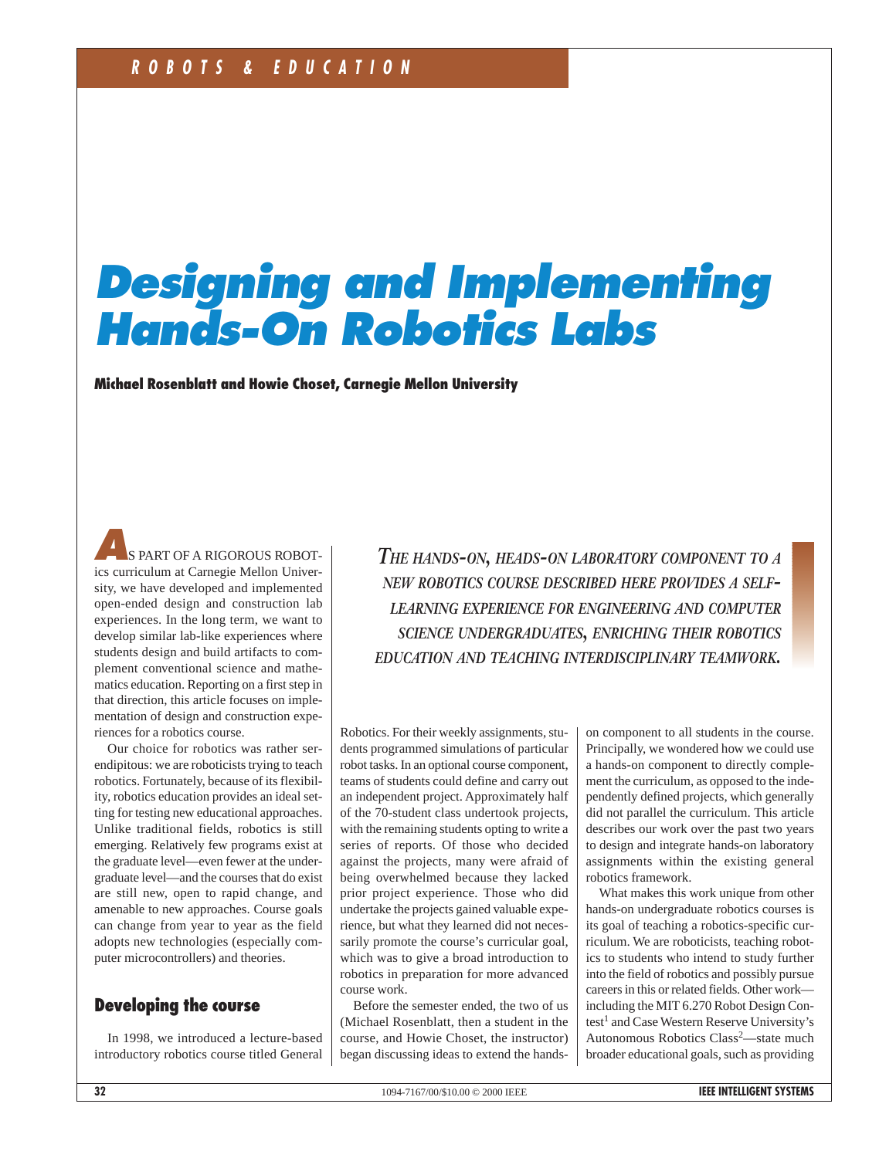# *Designing and Implementing Hands-On Robotics Labs*

**Michael Rosenblatt and Howie Choset, Carnegie Mellon University**

*AS PART OF A RIGOROUS ROBOT*ics curriculum at Carnegie Mellon University, we have developed and implemented open-ended design and construction lab experiences. In the long term, we want to develop similar lab-like experiences where students design and build artifacts to complement conventional science and mathematics education. Reporting on a first step in that direction, this article focuses on implementation of design and construction experiences for a robotics course.

Our choice for robotics was rather serendipitous: we are roboticists trying to teach robotics. Fortunately, because of its flexibility, robotics education provides an ideal setting for testing new educational approaches. Unlike traditional fields, robotics is still emerging. Relatively few programs exist at the graduate level—even fewer at the undergraduate level—and the courses that do exist are still new, open to rapid change, and amenable to new approaches. Course goals can change from year to year as the field adopts new technologies (especially computer microcontrollers) and theories.

# **Developing the course**

In 1998, we introduced a lecture-based introductory robotics course titled General

*THE HANDS-ON, HEADS-ON LABORATORY COMPONENT TO A NEW ROBOTICS COURSE DESCRIBED HERE PROVIDES A SELF-LEARNING EXPERIENCE FOR ENGINEERING AND COMPUTER SCIENCE UNDERGRADUATES, ENRICHING THEIR ROBOTICS EDUCATION AND TEACHING INTERDISCIPLINARY TEAMWORK.* 

Robotics. For their weekly assignments, students programmed simulations of particular robot tasks. In an optional course component, teams of students could define and carry out an independent project. Approximately half of the 70-student class undertook projects, with the remaining students opting to write a series of reports. Of those who decided against the projects, many were afraid of being overwhelmed because they lacked prior project experience. Those who did undertake the projects gained valuable experience, but what they learned did not necessarily promote the course's curricular goal, which was to give a broad introduction to robotics in preparation for more advanced course work.

Before the semester ended, the two of us (Michael Rosenblatt, then a student in the course, and Howie Choset, the instructor) began discussing ideas to extend the handson component to all students in the course. Principally, we wondered how we could use a hands-on component to directly complement the curriculum, as opposed to the independently defined projects, which generally did not parallel the curriculum. This article describes our work over the past two years to design and integrate hands-on laboratory assignments within the existing general robotics framework.

What makes this work unique from other hands-on undergraduate robotics courses is its goal of teaching a robotics-specific curriculum. We are roboticists, teaching robotics to students who intend to study further into the field of robotics and possibly pursue careers in this or related fields. Other work including the MIT 6.270 Robot Design Contest<sup>1</sup> and Case Western Reserve University's Autonomous Robotics Class<sup>2</sup>—state much broader educational goals, such as providing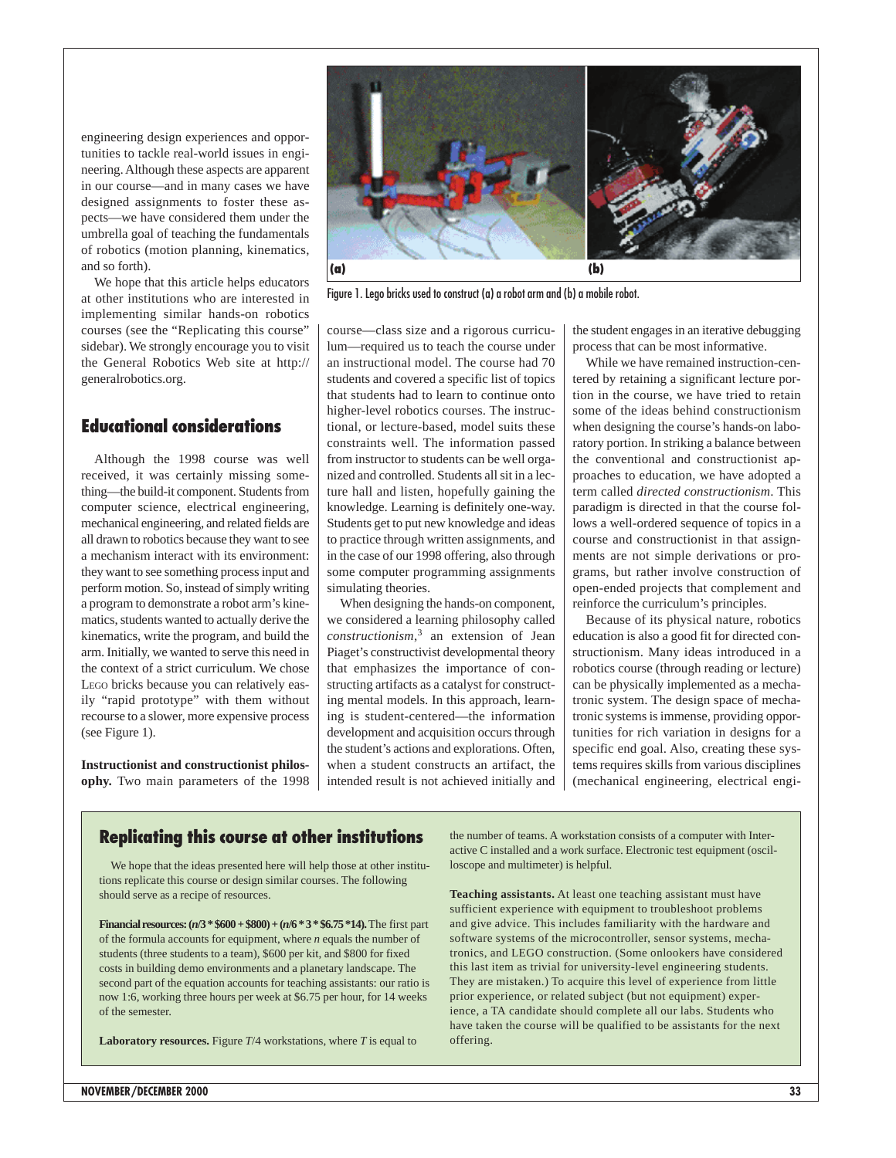engineering design experiences and opportunities to tackle real-world issues in engineering. Although these aspects are apparent in our course—and in many cases we have designed assignments to foster these aspects—we have considered them under the umbrella goal of teaching the fundamentals of robotics (motion planning, kinematics, and so forth).

We hope that this article helps educators at other institutions who are interested in implementing similar hands-on robotics courses (see the "Replicating this course" sidebar). We strongly encourage you to visit the General Robotics Web site at http:// generalrobotics.org.

# **Educational considerations**

Although the 1998 course was well received, it was certainly missing something—the build-it component. Students from computer science, electrical engineering, mechanical engineering, and related fields are all drawn to robotics because they want to see a mechanism interact with its environment: they want to see something process input and perform motion. So, instead of simply writing a program to demonstrate a robot arm's kinematics, students wanted to actually derive the kinematics, write the program, and build the arm. Initially, we wanted to serve this need in the context of a strict curriculum. We chose LEGO bricks because you can relatively easily "rapid prototype" with them without recourse to a slower, more expensive process (see Figure 1).

**Instructionist and constructionist philosophy.** Two main parameters of the 1998



Figure 1. Lego bricks used to construct (a) a robot arm and (b) a mobile robot.

course—class size and a rigorous curriculum—required us to teach the course under an instructional model. The course had 70 students and covered a specific list of topics that students had to learn to continue onto higher-level robotics courses. The instructional, or lecture-based, model suits these constraints well. The information passed from instructor to students can be well organized and controlled. Students all sit in a lecture hall and listen, hopefully gaining the knowledge. Learning is definitely one-way. Students get to put new knowledge and ideas to practice through written assignments, and in the case of our 1998 offering, also through some computer programming assignments simulating theories.

When designing the hands-on component, we considered a learning philosophy called *constructionism*, <sup>3</sup> an extension of Jean Piaget's constructivist developmental theory that emphasizes the importance of constructing artifacts as a catalyst for constructing mental models. In this approach, learning is student-centered—the information development and acquisition occurs through the student's actions and explorations. Often, when a student constructs an artifact, the intended result is not achieved initially and the student engages in an iterative debugging process that can be most informative.

While we have remained instruction-centered by retaining a significant lecture portion in the course, we have tried to retain some of the ideas behind constructionism when designing the course's hands-on laboratory portion. In striking a balance between the conventional and constructionist approaches to education, we have adopted a term called *directed constructionism*. This paradigm is directed in that the course follows a well-ordered sequence of topics in a course and constructionist in that assignments are not simple derivations or programs, but rather involve construction of open-ended projects that complement and reinforce the curriculum's principles.

Because of its physical nature, robotics education is also a good fit for directed constructionism. Many ideas introduced in a robotics course (through reading or lecture) can be physically implemented as a mechatronic system. The design space of mechatronic systems is immense, providing opportunities for rich variation in designs for a specific end goal. Also, creating these systems requires skills from various disciplines (mechanical engineering, electrical engi-

### **Replicating this course at other institutions**

We hope that the ideas presented here will help those at other institutions replicate this course or design similar courses. The following should serve as a recipe of resources.

**Financial resources:**  $(n/3 * $600 + $800) + (n/6 * 3 * $6.75 *14)$ . The first part of the formula accounts for equipment, where *n* equals the number of students (three students to a team), \$600 per kit, and \$800 for fixed costs in building demo environments and a planetary landscape. The second part of the equation accounts for teaching assistants: our ratio is now 1:6, working three hours per week at \$6.75 per hour, for 14 weeks of the semester.

**Laboratory resources.** Figure *T*/4 workstations, where *T* is equal to

the number of teams. A workstation consists of a computer with Interactive C installed and a work surface. Electronic test equipment (oscilloscope and multimeter) is helpful.

**Teaching assistants.** At least one teaching assistant must have sufficient experience with equipment to troubleshoot problems and give advice. This includes familiarity with the hardware and software systems of the microcontroller, sensor systems, mechatronics, and LEGO construction. (Some onlookers have considered this last item as trivial for university-level engineering students. They are mistaken.) To acquire this level of experience from little prior experience, or related subject (but not equipment) experience, a TA candidate should complete all our labs. Students who have taken the course will be qualified to be assistants for the next offering.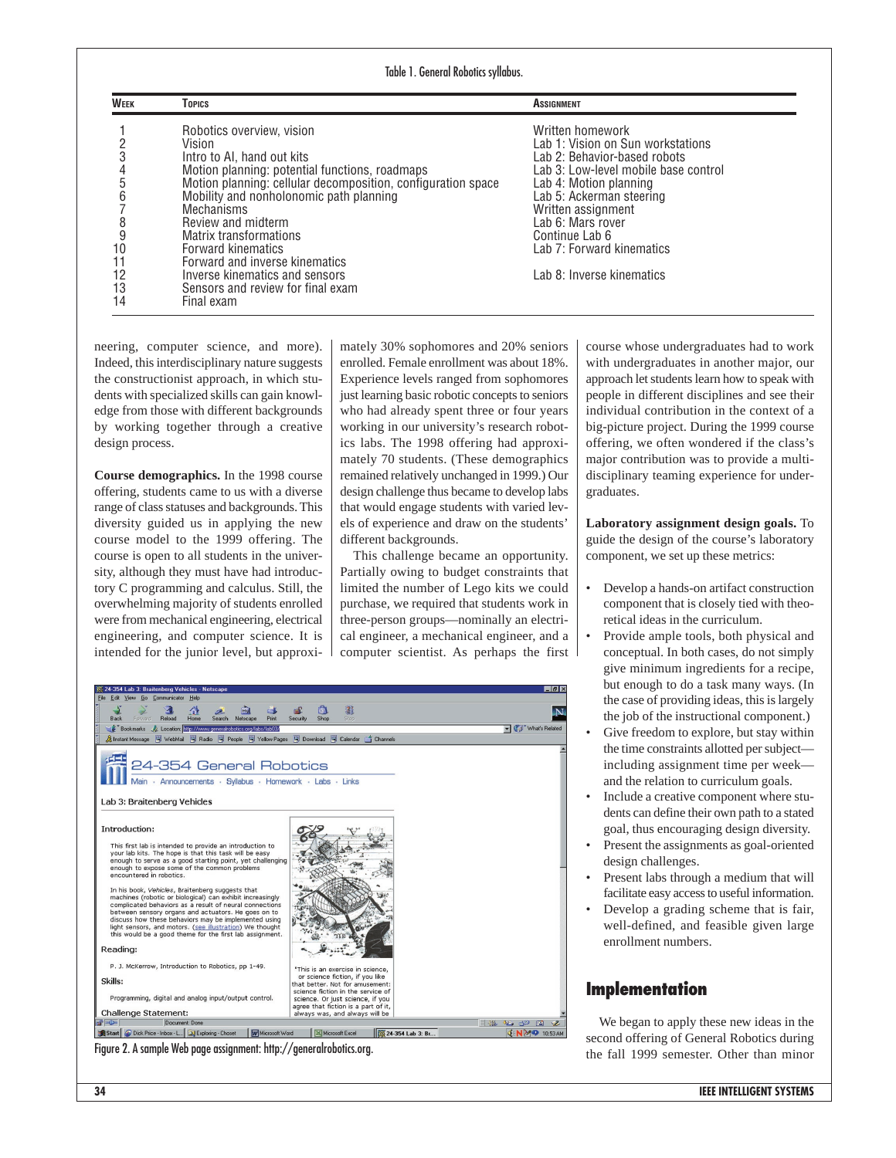#### Table 1. General Robotics syllabus.

| <b>WEEK</b>    | Topics                                                       | <b>ASSIGNMENT</b>                    |
|----------------|--------------------------------------------------------------|--------------------------------------|
|                | Robotics overview, vision                                    | Written homework                     |
|                | Vision                                                       | Lab 1: Vision on Sun workstations    |
|                | Intro to AI, hand out kits                                   | Lab 2: Behavior-based robots         |
|                | Motion planning: potential functions, roadmaps               | Lab 3: Low-level mobile base control |
|                | Motion planning: cellular decomposition, configuration space | Lab 4: Motion planning               |
| 6              | Mobility and nonholonomic path planning                      | Lab 5: Ackerman steering             |
|                | <b>Mechanisms</b>                                            | Written assignment                   |
| 8              | Review and midterm                                           | Lab 6: Mars rover                    |
| $\overline{9}$ | <b>Matrix transformations</b>                                | Continue Lab 6                       |
| 10             | <b>Forward kinematics</b>                                    | Lab 7: Forward kinematics            |
|                | Forward and inverse kinematics                               |                                      |
| 12             | Inverse kinematics and sensors                               | Lab 8: Inverse kinematics            |
| 13             | Sensors and review for final exam                            |                                      |
| 14             | Final exam                                                   |                                      |

neering, computer science, and more). Indeed, this interdisciplinary nature suggests the constructionist approach, in which students with specialized skills can gain knowledge from those with different backgrounds by working together through a creative design process.

**Course demographics.** In the 1998 course offering, students came to us with a diverse range of class statuses and backgrounds. This diversity guided us in applying the new course model to the 1999 offering. The course is open to all students in the university, although they must have had introductory C programming and calculus. Still, the overwhelming majority of students enrolled were from mechanical engineering, electrical engineering, and computer science. It is intended for the junior level, but approximately 30% sophomores and 20% seniors enrolled. Female enrollment was about 18%. Experience levels ranged from sophomores just learning basic robotic concepts to seniors who had already spent three or four years working in our university's research robotics labs. The 1998 offering had approximately 70 students. (These demographics remained relatively unchanged in 1999.) Our design challenge thus became to develop labs that would engage students with varied levels of experience and draw on the students' different backgrounds.

This challenge became an opportunity. Partially owing to budget constraints that limited the number of Lego kits we could purchase, we required that students work in three-person groups—nominally an electrical engineer, a mechanical engineer, and a computer scientist. As perhaps the first



course whose undergraduates had to work with undergraduates in another major, our approach let students learn how to speak with people in different disciplines and see their individual contribution in the context of a big-picture project. During the 1999 course offering, we often wondered if the class's major contribution was to provide a multidisciplinary teaming experience for undergraduates.

**Laboratory assignment design goals.** To guide the design of the course's laboratory component, we set up these metrics:

- Develop a hands-on artifact construction component that is closely tied with theoretical ideas in the curriculum.
- Provide ample tools, both physical and conceptual. In both cases, do not simply give minimum ingredients for a recipe, but enough to do a task many ways. (In the case of providing ideas, this is largely the job of the instructional component.)
- Give freedom to explore, but stay within the time constraints allotted per subject including assignment time per week and the relation to curriculum goals.
- Include a creative component where students can define their own path to a stated goal, thus encouraging design diversity.
- Present the assignments as goal-oriented design challenges.
- Present labs through a medium that will facilitate easy access to useful information.
- Develop a grading scheme that is fair, well-defined, and feasible given large enrollment numbers.

# **Implementation**

We began to apply these new ideas in the second offering of General Robotics during the fall 1999 semester. Other than minor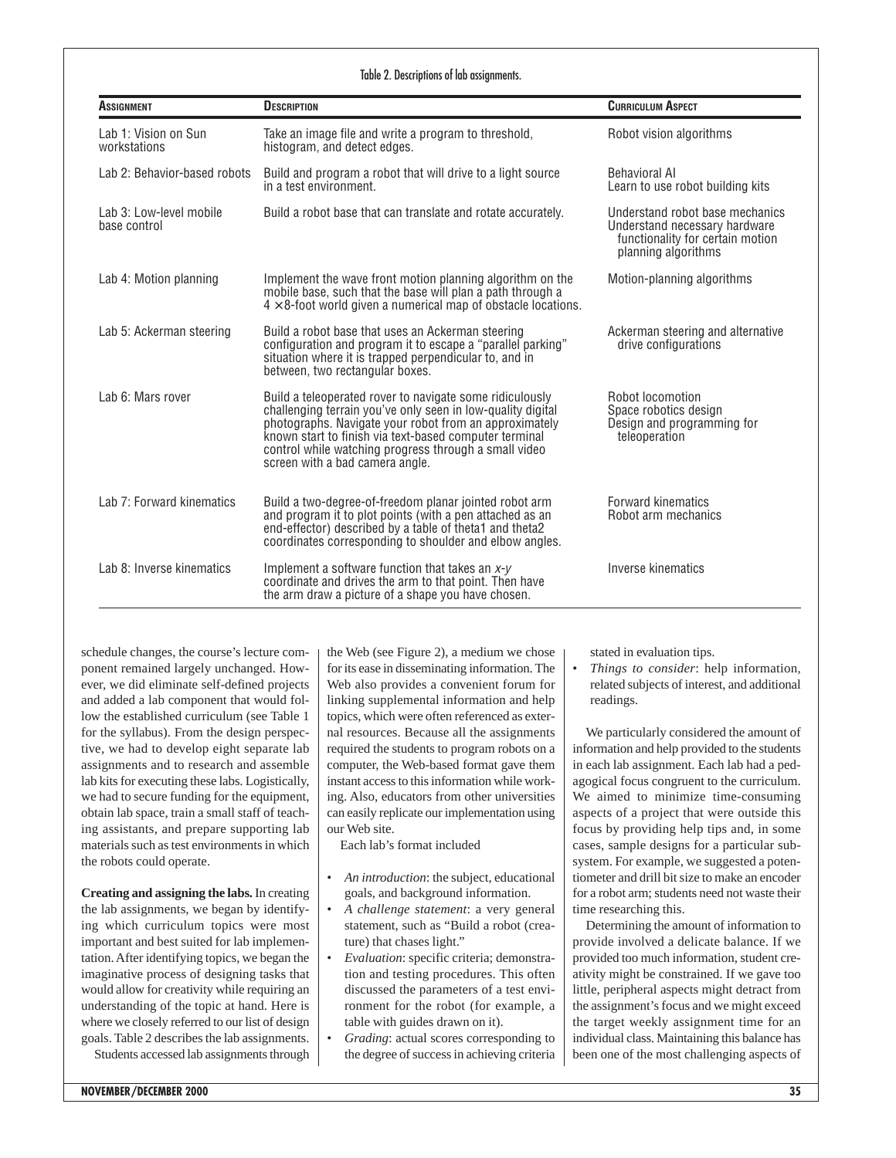| Table 2. Descriptions of lab assignments. |  |  |
|-------------------------------------------|--|--|
|-------------------------------------------|--|--|

| <b>ASSIGNMENT</b>                       | <b>DESCRIPTION</b>                                                                                                                                                                                                                                                                                                                      | <b>CURRICULUM ASPECT</b>                                                                                                    |
|-----------------------------------------|-----------------------------------------------------------------------------------------------------------------------------------------------------------------------------------------------------------------------------------------------------------------------------------------------------------------------------------------|-----------------------------------------------------------------------------------------------------------------------------|
| Lab 1: Vision on Sun<br>workstations    | Take an image file and write a program to threshold,<br>histogram, and detect edges.                                                                                                                                                                                                                                                    | Robot vision algorithms                                                                                                     |
| Lab 2: Behavior-based robots            | Build and program a robot that will drive to a light source<br>in a test environment.                                                                                                                                                                                                                                                   | <b>Behavioral AI</b><br>Learn to use robot building kits                                                                    |
| Lab 3: Low-level mobile<br>base control | Build a robot base that can translate and rotate accurately.                                                                                                                                                                                                                                                                            | Understand robot base mechanics<br>Understand necessary hardware<br>functionality for certain motion<br>planning algorithms |
| Lab 4: Motion planning                  | Implement the wave front motion planning algorithm on the<br>mobile base, such that the base will plan a path through a<br>$4 \times 8$ -foot world given a numerical map of obstacle locations.                                                                                                                                        | Motion-planning algorithms                                                                                                  |
| Lab 5: Ackerman steering                | Build a robot base that uses an Ackerman steering<br>configuration and program it to escape a "parallel parking"<br>situation where it is trapped perpendicular to, and in<br>between, two rectangular boxes.                                                                                                                           | Ackerman steering and alternative<br>drive configurations                                                                   |
| Lab 6: Mars rover                       | Build a teleoperated rover to navigate some ridiculously<br>challenging terrain you've only seen in low-quality digital<br>photographs. Navigate your robot from an approximately<br>known start to finish via text-based computer terminal<br>control while watching progress through a small video<br>screen with a bad camera angle. | Robot locomotion<br>Space robotics design<br>Design and programming for<br>teleoperation                                    |
| Lab 7: Forward kinematics               | Build a two-degree-of-freedom planar jointed robot arm<br>and program it to plot points (with a pen attached as an<br>end-effector) described by a table of theta1 and theta2<br>coordinates corresponding to shoulder and elbow angles.                                                                                                | <b>Forward kinematics</b><br>Robot arm mechanics                                                                            |
| Lab 8: Inverse kinematics               | Implement a software function that takes an $x-y$<br>coordinate and drives the arm to that point. Then have<br>the arm draw a picture of a shape you have chosen.                                                                                                                                                                       | Inverse kinematics                                                                                                          |

schedule changes, the course's lecture component remained largely unchanged. However, we did eliminate self-defined projects and added a lab component that would follow the established curriculum (see Table 1 for the syllabus). From the design perspective, we had to develop eight separate lab assignments and to research and assemble lab kits for executing these labs. Logistically, we had to secure funding for the equipment, obtain lab space, train a small staff of teaching assistants, and prepare supporting lab materials such as test environments in which the robots could operate.

**Creating and assigning the labs.** In creating the lab assignments, we began by identifying which curriculum topics were most important and best suited for lab implementation. After identifying topics, we began the imaginative process of designing tasks that would allow for creativity while requiring an understanding of the topic at hand. Here is where we closely referred to our list of design goals. Table 2 describes the lab assignments.

Students accessed lab assignments through

the Web (see Figure 2), a medium we chose for its ease in disseminating information. The Web also provides a convenient forum for linking supplemental information and help topics, which were often referenced as external resources. Because all the assignments required the students to program robots on a computer, the Web-based format gave them instant access to this information while working. Also, educators from other universities can easily replicate our implementation using our Web site.

Each lab's format included

- *An introduction*: the subject, educational goals, and background information.
- *A challenge statement*: a very general statement, such as "Build a robot (creature) that chases light."
- *Evaluation*: specific criteria; demonstration and testing procedures. This often discussed the parameters of a test environment for the robot (for example, a table with guides drawn on it).
- *Grading*: actual scores corresponding to the degree of success in achieving criteria

stated in evaluation tips.

• *Things to consider*: help information, related subjects of interest, and additional readings.

We particularly considered the amount of information and help provided to the students in each lab assignment. Each lab had a pedagogical focus congruent to the curriculum. We aimed to minimize time-consuming aspects of a project that were outside this focus by providing help tips and, in some cases, sample designs for a particular subsystem. For example, we suggested a potentiometer and drill bit size to make an encoder for a robot arm; students need not waste their time researching this.

Determining the amount of information to provide involved a delicate balance. If we provided too much information, student creativity might be constrained. If we gave too little, peripheral aspects might detract from the assignment's focus and we might exceed the target weekly assignment time for an individual class. Maintaining this balance has been one of the most challenging aspects of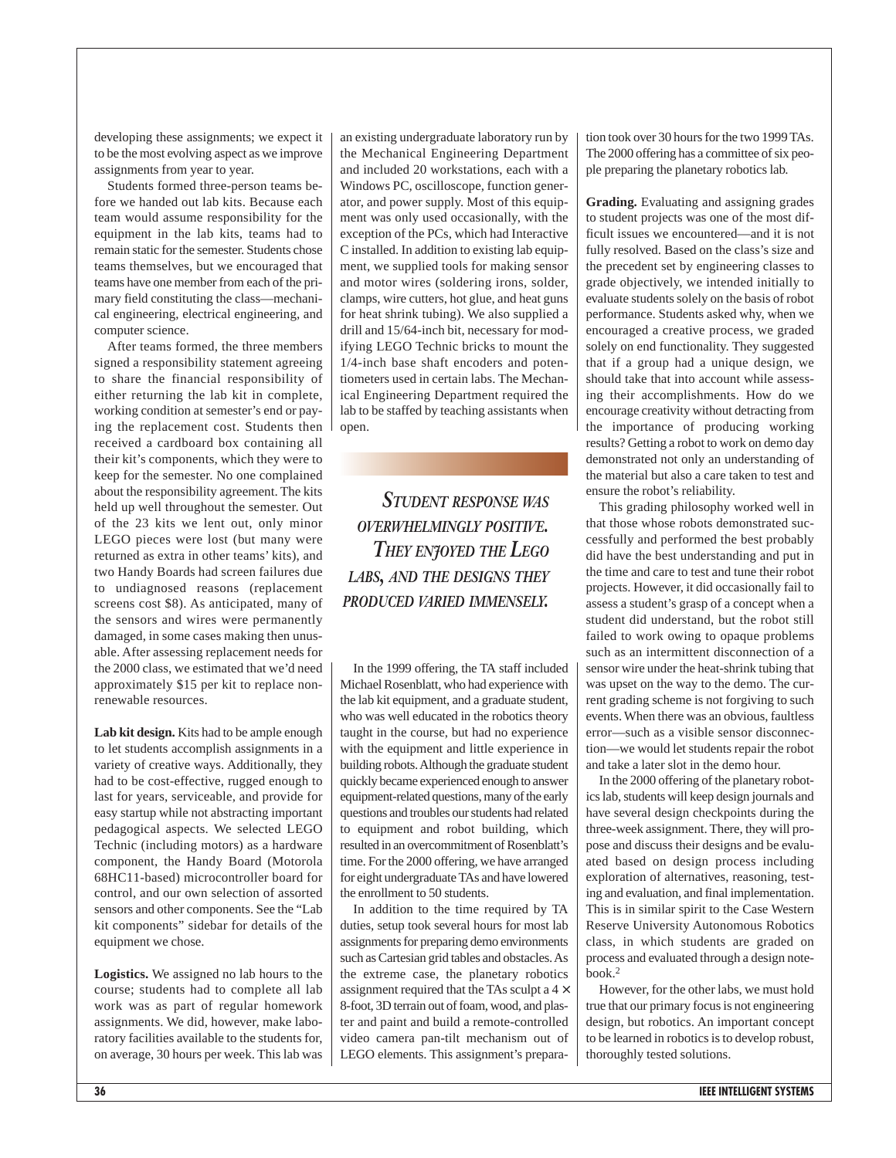developing these assignments; we expect it to be the most evolving aspect as we improve assignments from year to year.

Students formed three-person teams before we handed out lab kits. Because each team would assume responsibility for the equipment in the lab kits, teams had to remain static for the semester. Students chose teams themselves, but we encouraged that teams have one member from each of the primary field constituting the class—mechanical engineering, electrical engineering, and computer science.

After teams formed, the three members signed a responsibility statement agreeing to share the financial responsibility of either returning the lab kit in complete, working condition at semester's end or paying the replacement cost. Students then received a cardboard box containing all their kit's components, which they were to keep for the semester. No one complained about the responsibility agreement. The kits held up well throughout the semester. Out of the 23 kits we lent out, only minor LEGO pieces were lost (but many were returned as extra in other teams' kits), and two Handy Boards had screen failures due to undiagnosed reasons (replacement screens cost \$8). As anticipated, many of the sensors and wires were permanently damaged, in some cases making then unusable. After assessing replacement needs for the 2000 class, we estimated that we'd need approximately \$15 per kit to replace nonrenewable resources.

**Lab kit design.** Kits had to be ample enough to let students accomplish assignments in a variety of creative ways. Additionally, they had to be cost-effective, rugged enough to last for years, serviceable, and provide for easy startup while not abstracting important pedagogical aspects. We selected LEGO Technic (including motors) as a hardware component, the Handy Board (Motorola 68HC11-based) microcontroller board for control, and our own selection of assorted sensors and other components. See the "Lab kit components" sidebar for details of the equipment we chose.

**Logistics.** We assigned no lab hours to the course; students had to complete all lab work was as part of regular homework assignments. We did, however, make laboratory facilities available to the students for, on average, 30 hours per week. This lab was

an existing undergraduate laboratory run by the Mechanical Engineering Department and included 20 workstations, each with a Windows PC, oscilloscope, function generator, and power supply. Most of this equipment was only used occasionally, with the exception of the PCs, which had Interactive C installed. In addition to existing lab equipment, we supplied tools for making sensor and motor wires (soldering irons, solder, clamps, wire cutters, hot glue, and heat guns for heat shrink tubing). We also supplied a drill and 15/64-inch bit, necessary for modifying LEGO Technic bricks to mount the 1/4-inch base shaft encoders and potentiometers used in certain labs. The Mechanical Engineering Department required the lab to be staffed by teaching assistants when open.

# *STUDENT RESPONSE WAS OVERWHELMINGLY POSITIVE. THEY ENJOYED THE LEGO LABS, AND THE DESIGNS THEY PRODUCED VARIED IMMENSELY.*

In the 1999 offering, the TA staff included Michael Rosenblatt, who had experience with the lab kit equipment, and a graduate student, who was well educated in the robotics theory taught in the course, but had no experience with the equipment and little experience in building robots. Although the graduate student quickly became experienced enough to answer equipment-related questions, many of the early questions and troubles our students had related to equipment and robot building, which resulted in an overcommitment of Rosenblatt's time. For the 2000 offering, we have arranged for eight undergraduate TAs and have lowered the enrollment to 50 students.

In addition to the time required by TA duties, setup took several hours for most lab assignments for preparing demo environments such as Cartesian grid tables and obstacles. As the extreme case, the planetary robotics assignment required that the TAs sculpt a  $4 \times$ 8-foot, 3D terrain out of foam, wood, and plaster and paint and build a remote-controlled video camera pan-tilt mechanism out of LEGO elements. This assignment's preparation took over 30 hours for the two 1999 TAs. The 2000 offering has a committee of six people preparing the planetary robotics lab.

**Grading.** Evaluating and assigning grades to student projects was one of the most difficult issues we encountered—and it is not fully resolved. Based on the class's size and the precedent set by engineering classes to grade objectively, we intended initially to evaluate students solely on the basis of robot performance. Students asked why, when we encouraged a creative process, we graded solely on end functionality. They suggested that if a group had a unique design, we should take that into account while assessing their accomplishments. How do we encourage creativity without detracting from the importance of producing working results? Getting a robot to work on demo day demonstrated not only an understanding of the material but also a care taken to test and ensure the robot's reliability.

This grading philosophy worked well in that those whose robots demonstrated successfully and performed the best probably did have the best understanding and put in the time and care to test and tune their robot projects. However, it did occasionally fail to assess a student's grasp of a concept when a student did understand, but the robot still failed to work owing to opaque problems such as an intermittent disconnection of a sensor wire under the heat-shrink tubing that was upset on the way to the demo. The current grading scheme is not forgiving to such events. When there was an obvious, faultless error—such as a visible sensor disconnection—we would let students repair the robot and take a later slot in the demo hour.

In the 2000 offering of the planetary robotics lab, students will keep design journals and have several design checkpoints during the three-week assignment. There, they will propose and discuss their designs and be evaluated based on design process including exploration of alternatives, reasoning, testing and evaluation, and final implementation. This is in similar spirit to the Case Western Reserve University Autonomous Robotics class, in which students are graded on process and evaluated through a design notebook.2

However, for the other labs, we must hold true that our primary focus is not engineering design, but robotics. An important concept to be learned in robotics is to develop robust, thoroughly tested solutions.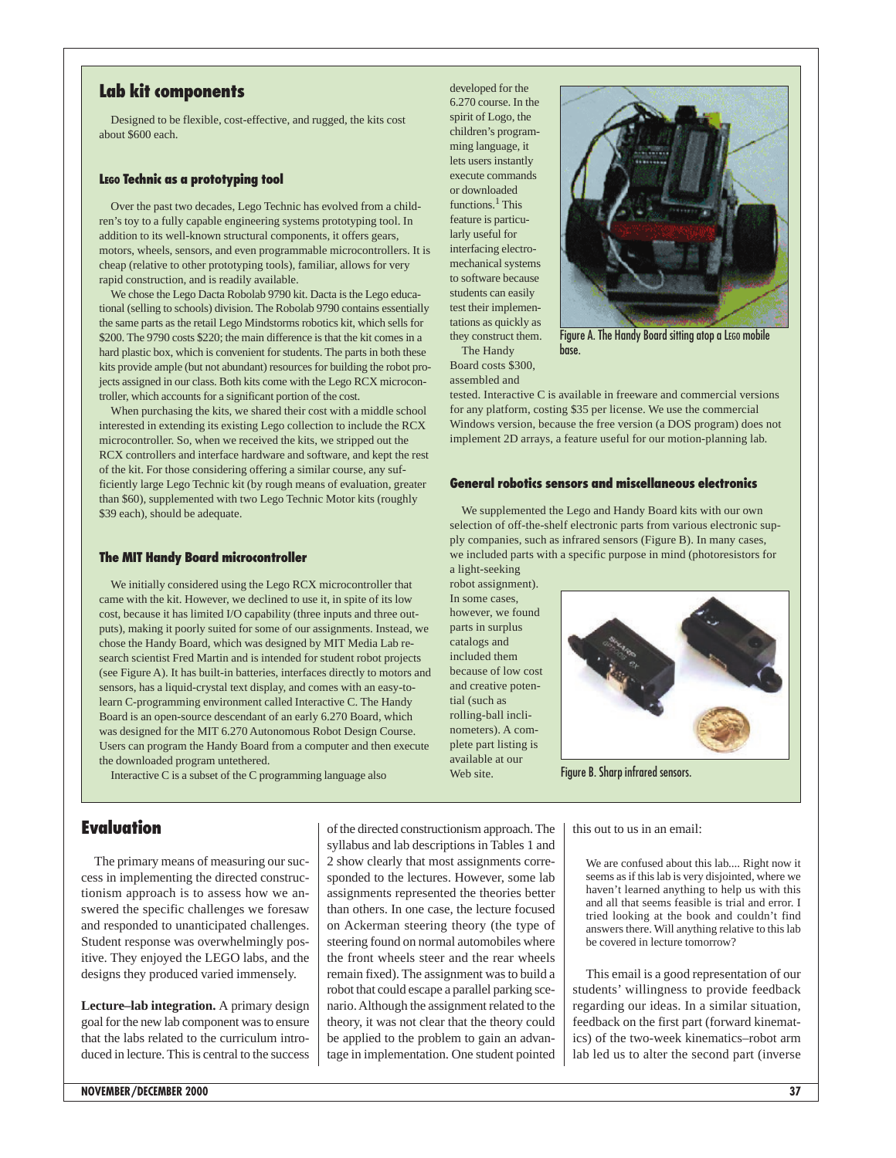## **Lab kit components**

Designed to be flexible, cost-effective, and rugged, the kits cost about \$600 each.

#### **LEGO Technic as a prototyping tool**

Over the past two decades, Lego Technic has evolved from a children's toy to a fully capable engineering systems prototyping tool. In addition to its well-known structural components, it offers gears, motors, wheels, sensors, and even programmable microcontrollers. It is cheap (relative to other prototyping tools), familiar, allows for very rapid construction, and is readily available.

We chose the Lego Dacta Robolab 9790 kit. Dacta is the Lego educational (selling to schools) division. The Robolab 9790 contains essentially the same parts as the retail Lego Mindstorms robotics kit, which sells for \$200. The 9790 costs \$220; the main difference is that the kit comes in a hard plastic box, which is convenient for students. The parts in both these kits provide ample (but not abundant) resources for building the robot projects assigned in our class. Both kits come with the Lego RCX microcontroller, which accounts for a significant portion of the cost.

When purchasing the kits, we shared their cost with a middle school interested in extending its existing Lego collection to include the RCX microcontroller. So, when we received the kits, we stripped out the RCX controllers and interface hardware and software, and kept the rest of the kit. For those considering offering a similar course, any sufficiently large Lego Technic kit (by rough means of evaluation, greater than \$60), supplemented with two Lego Technic Motor kits (roughly \$39 each), should be adequate.

#### **The MIT Handy Board microcontroller**

We initially considered using the Lego RCX microcontroller that came with the kit. However, we declined to use it, in spite of its low cost, because it has limited I/O capability (three inputs and three outputs), making it poorly suited for some of our assignments. Instead, we chose the Handy Board, which was designed by MIT Media Lab research scientist Fred Martin and is intended for student robot projects (see Figure A). It has built-in batteries, interfaces directly to motors and sensors, has a liquid-crystal text display, and comes with an easy-tolearn C-programming environment called Interactive C. The Handy Board is an open-source descendant of an early 6.270 Board, which was designed for the MIT 6.270 Autonomous Robot Design Course. Users can program the Handy Board from a computer and then execute the downloaded program untethered.

Interactive C is a subset of the C programming language also

## **Evaluation**

The primary means of measuring our success in implementing the directed constructionism approach is to assess how we answered the specific challenges we foresaw and responded to unanticipated challenges. Student response was overwhelmingly positive. They enjoyed the LEGO labs, and the designs they produced varied immensely.

**Lecture–lab integration.** A primary design goal for the new lab component was to ensure that the labs related to the curriculum introduced in lecture. This is central to the success of the directed constructionism approach. The syllabus and lab descriptions in Tables 1 and 2 show clearly that most assignments corresponded to the lectures. However, some lab assignments represented the theories better than others. In one case, the lecture focused on Ackerman steering theory (the type of steering found on normal automobiles where the front wheels steer and the rear wheels remain fixed). The assignment was to build a robot that could escape a parallel parking scenario. Although the assignment related to the theory, it was not clear that the theory could be applied to the problem to gain an advantage in implementation. One student pointed

developed for the 6.270 course. In the spirit of Logo, the children's programming language, it lets users instantly execute commands or downloaded functions. $<sup>1</sup>$  This</sup> feature is particularly useful for interfacing electromechanical systems to software because students can easily test their implementations as quickly as they construct them. The Handy



Figure A. The Handy Board sitting atop a LEGO mobile base.

Board costs \$300, assembled and

tested. Interactive C is available in freeware and commercial versions for any platform, costing \$35 per license. We use the commercial Windows version, because the free version (a DOS program) does not implement 2D arrays, a feature useful for our motion-planning lab.

#### **General robotics sensors and miscellaneous electronics**

We supplemented the Lego and Handy Board kits with our own selection of off-the-shelf electronic parts from various electronic supply companies, such as infrared sensors (Figure B). In many cases, we included parts with a specific purpose in mind (photoresistors for a light-seeking

robot assignment). In some cases, however, we found parts in surplus catalogs and included them because of low cost and creative potential (such as rolling-ball inclinometers). A complete part listing is available at our Web site.



Figure B. Sharp infrared sensors.

this out to us in an email:

We are confused about this lab.... Right now it seems as if this lab is very disjointed, where we haven't learned anything to help us with this and all that seems feasible is trial and error. I tried looking at the book and couldn't find answers there. Will anything relative to this lab be covered in lecture tomorrow?

This email is a good representation of our students' willingness to provide feedback regarding our ideas. In a similar situation, feedback on the first part (forward kinematics) of the two-week kinematics–robot arm lab led us to alter the second part (inverse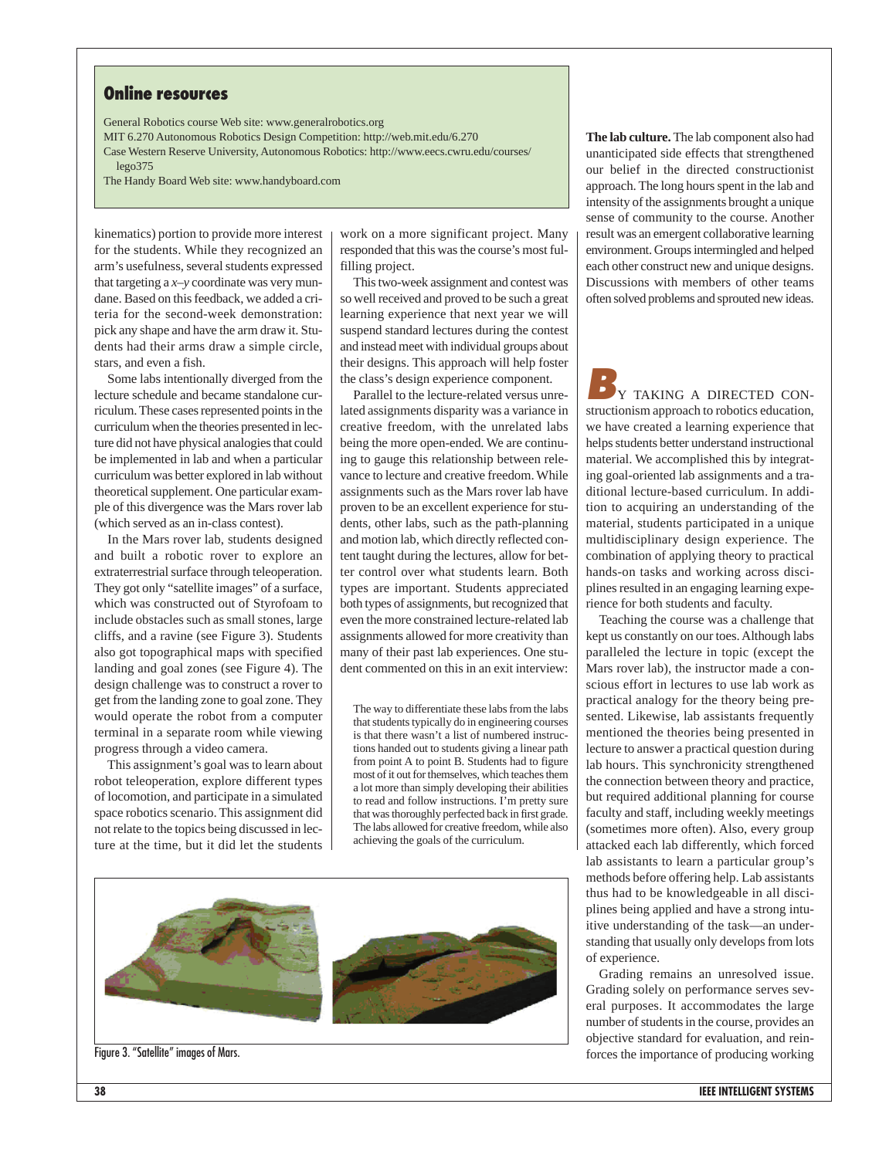#### **Online resources**

General Robotics course Web site: www.generalrobotics.org

MIT 6.270 Autonomous Robotics Design Competition: http://web.mit.edu/6.270 Case Western Reserve University, Autonomous Robotics: http://www.eecs.cwru.edu/courses/ lego375

The Handy Board Web site: www.handyboard.com

kinematics) portion to provide more interest for the students. While they recognized an arm's usefulness, several students expressed that targeting a *x–y* coordinate was very mundane. Based on this feedback, we added a criteria for the second-week demonstration: pick any shape and have the arm draw it. Students had their arms draw a simple circle, stars, and even a fish.

Some labs intentionally diverged from the lecture schedule and became standalone curriculum. These cases represented points in the curriculum when the theories presented in lecture did not have physical analogies that could be implemented in lab and when a particular curriculum was better explored in lab without theoretical supplement. One particular example of this divergence was the Mars rover lab (which served as an in-class contest).

In the Mars rover lab, students designed and built a robotic rover to explore an extraterrestrial surface through teleoperation. They got only "satellite images" of a surface, which was constructed out of Styrofoam to include obstacles such as small stones, large cliffs, and a ravine (see Figure 3). Students also got topographical maps with specified landing and goal zones (see Figure 4). The design challenge was to construct a rover to get from the landing zone to goal zone. They would operate the robot from a computer terminal in a separate room while viewing progress through a video camera.

This assignment's goal was to learn about robot teleoperation, explore different types of locomotion, and participate in a simulated space robotics scenario. This assignment did not relate to the topics being discussed in lecture at the time, but it did let the students work on a more significant project. Many responded that this was the course's most fulfilling project.

This two-week assignment and contest was so well received and proved to be such a great learning experience that next year we will suspend standard lectures during the contest and instead meet with individual groups about their designs. This approach will help foster the class's design experience component.

Parallel to the lecture-related versus unrelated assignments disparity was a variance in creative freedom, with the unrelated labs being the more open-ended. We are continuing to gauge this relationship between relevance to lecture and creative freedom. While assignments such as the Mars rover lab have proven to be an excellent experience for students, other labs, such as the path-planning and motion lab, which directly reflected content taught during the lectures, allow for better control over what students learn. Both types are important. Students appreciated both types of assignments, but recognized that even the more constrained lecture-related lab assignments allowed for more creativity than many of their past lab experiences. One student commented on this in an exit interview:

The way to differentiate these labs from the labs that students typically do in engineering courses is that there wasn't a list of numbered instructions handed out to students giving a linear path from point A to point B. Students had to figure most of it out for themselves, which teaches them a lot more than simply developing their abilities to read and follow instructions. I'm pretty sure that was thoroughly perfected back in first grade. The labs allowed for creative freedom, while also achieving the goals of the curriculum.





**The lab culture.** The lab component also had unanticipated side effects that strengthened our belief in the directed constructionist approach. The long hours spent in the lab and intensity of the assignments brought a unique sense of community to the course. Another result was an emergent collaborative learning environment. Groups intermingled and helped each other construct new and unique designs. Discussions with members of other teams often solved problems and sprouted new ideas.

*B*Y TAKING A DIRECTED CONstructionism approach to robotics education, we have created a learning experience that helps students better understand instructional material. We accomplished this by integrating goal-oriented lab assignments and a traditional lecture-based curriculum. In addition to acquiring an understanding of the material, students participated in a unique multidisciplinary design experience. The combination of applying theory to practical hands-on tasks and working across disciplines resulted in an engaging learning experience for both students and faculty.

Teaching the course was a challenge that kept us constantly on our toes. Although labs paralleled the lecture in topic (except the Mars rover lab), the instructor made a conscious effort in lectures to use lab work as practical analogy for the theory being presented. Likewise, lab assistants frequently mentioned the theories being presented in lecture to answer a practical question during lab hours. This synchronicity strengthened the connection between theory and practice, but required additional planning for course faculty and staff, including weekly meetings (sometimes more often). Also, every group attacked each lab differently, which forced lab assistants to learn a particular group's methods before offering help. Lab assistants thus had to be knowledgeable in all disciplines being applied and have a strong intuitive understanding of the task—an understanding that usually only develops from lots of experience.

Grading remains an unresolved issue. Grading solely on performance serves several purposes. It accommodates the large number of students in the course, provides an objective standard for evaluation, and reinforces the importance of producing working